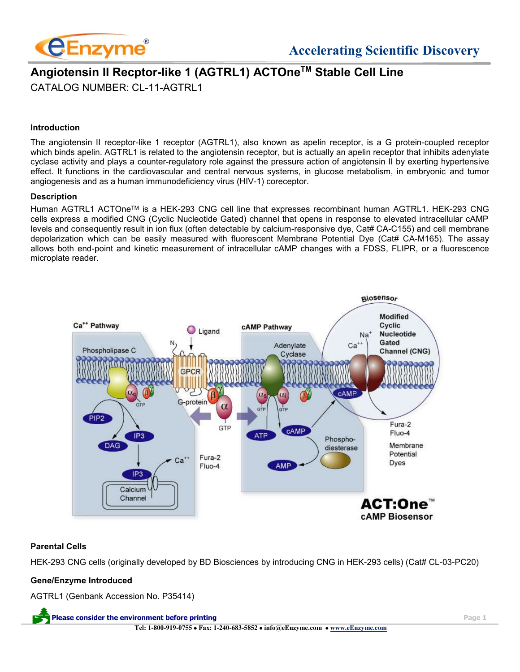

# **Angiotensin II Recptor-like 1 (AGTRL1) ACTOneTM Stable Cell Line** CATALOG NUMBER: CL-11-AGTRL1

#### **Introduction**

The angiotensin II receptor-like 1 receptor (AGTRL1), also known as apelin receptor, is a G protein-coupled receptor which binds apelin. AGTRL1 is related to the angiotensin receptor, but is actually an apelin receptor that inhibits adenylate cyclase activity and plays a counter-regulatory role against the pressure action of angiotensin II by exerting hypertensive effect. It functions in the cardiovascular and central nervous systems, in glucose metabolism, in embryonic and tumor angiogenesis and as a human immunodeficiency virus (HIV-1) coreceptor.

#### **Description**

Human AGTRL1 ACTOneTM is a HEK-293 CNG cell line that expresses recombinant human AGTRL1. HEK-293 CNG cells express a modified CNG (Cyclic Nucleotide Gated) channel that opens in response to elevated intracellular cAMP levels and consequently result in ion flux (often detectable by calcium-responsive dye, Cat# CA-C155) and cell membrane depolarization which can be easily measured with fluorescent Membrane Potential Dye (Cat# CA-M165). The assay allows both end-point and kinetic measurement of intracellular cAMP changes with a FDSS, FLIPR, or a fluorescence microplate reader.



#### **Parental Cells**

HEK-293 CNG cells (originally developed by BD Biosciences by introducing CNG in HEK-293 cells) (Cat# CL-03-PC20)

#### **Gene/Enzyme Introduced**

AGTRL1 (Genbank Accession No. P35414)

**Please consider the environment before printing Page 1 Tel: 1-800-919-0755** • **Fax: 1-240-683-5852** • **info@eEnzyme.com** • **[www.eEnzyme.com](http://www.biomatik.com/)**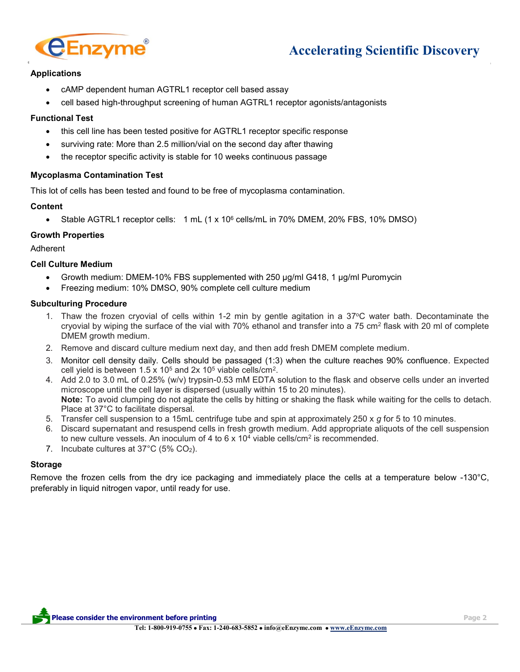

# **Accelerating Scientific Discovery**

# **Applications**

- cAMP dependent human AGTRL1 receptor cell based assay
- cell based high-throughput screening of human AGTRL1 receptor agonists/antagonists

#### **Functional Test**

- this cell line has been tested positive for AGTRL1 receptor specific response
- surviving rate: More than 2.5 million/vial on the second day after thawing
- the receptor specific activity is stable for 10 weeks continuous passage

# **Mycoplasma Contamination Test**

This lot of cells has been tested and found to be free of mycoplasma contamination.

# **Content**

• Stable AGTRL1 receptor cells: 1 mL (1 x 10<sup>6</sup> cells/mL in 70% DMEM, 20% FBS, 10% DMSO)

# **Growth Properties**

Adherent

# **Cell Culture Medium**

- Growth medium: DMEM-10% FBS supplemented with 250 µg/ml G418, 1 µg/ml Puromycin
- Freezing medium: 10% DMSO, 90% complete cell culture medium

#### **Subculturing Procedure**

- 1. Thaw the frozen cryovial of cells within 1-2 min by gentle agitation in a 37°C water bath. Decontaminate the cryovial by wiping the surface of the vial with 70% ethanol and transfer into a 75 cm<sup>2</sup> flask with 20 ml of complete DMEM growth medium.
- 2. Remove and discard culture medium next day, and then add fresh DMEM complete medium.
- 3. Monitor cell density daily. Cells should be passaged (1:3) when the culture reaches 90% confluence. Expected cell yield is between  $1.5 \times 10^5$  and  $2x 10^5$  viable cells/cm<sup>2</sup>.
- 4. Add 2.0 to 3.0 mL of 0.25% (w/v) trypsin-0.53 mM EDTA solution to the flask and observe cells under an inverted microscope until the cell layer is dispersed (usually within 15 to 20 minutes). **Note:** To avoid clumping do not agitate the cells by hitting or shaking the flask while waiting for the cells to detach. Place at 37°C to facilitate dispersal.
- 5. Transfer cell suspension to a 15mL centrifuge tube and spin at approximately 250 x *g* for 5 to 10 minutes.
- 6. Discard supernatant and resuspend cells in fresh growth medium. Add appropriate aliquots of the cell suspension to new culture vessels. An inoculum of 4 to 6 x 10<sup>4</sup> viable cells/cm<sup>2</sup> is recommended.
- 7. Incubate cultures at 37°C (5% CO2).

# **Storage**

Remove the frozen cells from the dry ice packaging and immediately place the cells at a temperature below -130°C, preferably in liquid nitrogen vapor, until ready for use.